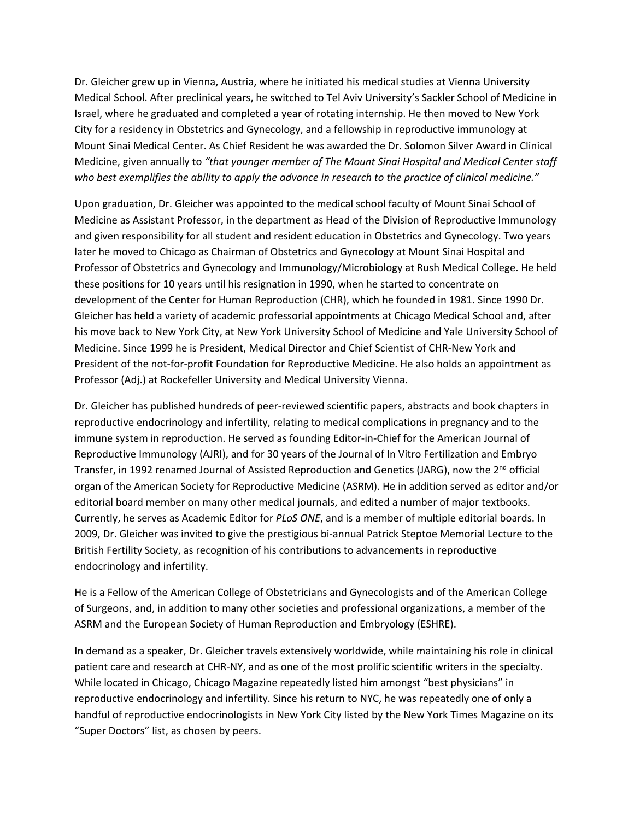Dr. Gleicher grew up in Vienna, Austria, where he initiated his medical studies at Vienna University Medical School. After preclinical years, he switched to Tel Aviv University's Sackler School of Medicine in Israel, where he graduated and completed a year of rotating internship. He then moved to New York City for a residency in Obstetrics and Gynecology, and a fellowship in reproductive immunology at Mount Sinai Medical Center. As Chief Resident he was awarded the Dr. Solomon Silver Award in Clinical Medicine, given annually to *"that younger member of The Mount Sinai Hospital and Medical Center staff who best exemplifies the ability to apply the advance in research to the practice of clinical medicine."*

Upon graduation, Dr. Gleicher was appointed to the medical school faculty of Mount Sinai School of Medicine as Assistant Professor, in the department as Head of the Division of Reproductive Immunology and given responsibility for all student and resident education in Obstetrics and Gynecology. Two years later he moved to Chicago as Chairman of Obstetrics and Gynecology at Mount Sinai Hospital and Professor of Obstetrics and Gynecology and Immunology/Microbiology at Rush Medical College. He held these positions for 10 years until his resignation in 1990, when he started to concentrate on development of the Center for Human Reproduction (CHR), which he founded in 1981. Since 1990 Dr. Gleicher has held a variety of academic professorial appointments at Chicago Medical School and, after his move back to New York City, at New York University School of Medicine and Yale University School of Medicine. Since 1999 he is President, Medical Director and Chief Scientist of CHR‐New York and President of the not‐for‐profit Foundation for Reproductive Medicine. He also holds an appointment as Professor (Adj.) at Rockefeller University and Medical University Vienna.

Dr. Gleicher has published hundreds of peer‐reviewed scientific papers, abstracts and book chapters in reproductive endocrinology and infertility, relating to medical complications in pregnancy and to the immune system in reproduction. He served as founding Editor-in-Chief for the American Journal of Reproductive Immunology (AJRI), and for 30 years of the Journal of In Vitro Fertilization and Embryo Transfer, in 1992 renamed Journal of Assisted Reproduction and Genetics (JARG), now the 2<sup>nd</sup> official organ of the American Society for Reproductive Medicine (ASRM). He in addition served as editor and/or editorial board member on many other medical journals, and edited a number of major textbooks. Currently, he serves as Academic Editor for *PLoS ONE*, and is a member of multiple editorial boards. In 2009, Dr. Gleicher was invited to give the prestigious bi‐annual Patrick Steptoe Memorial Lecture to the British Fertility Society, as recognition of his contributions to advancements in reproductive endocrinology and infertility.

He is a Fellow of the American College of Obstetricians and Gynecologists and of the American College of Surgeons, and, in addition to many other societies and professional organizations, a member of the ASRM and the European Society of Human Reproduction and Embryology (ESHRE).

In demand as a speaker, Dr. Gleicher travels extensively worldwide, while maintaining his role in clinical patient care and research at CHR‐NY, and as one of the most prolific scientific writers in the specialty. While located in Chicago, Chicago Magazine repeatedly listed him amongst "best physicians" in reproductive endocrinology and infertility. Since his return to NYC, he was repeatedly one of only a handful of reproductive endocrinologists in New York City listed by the New York Times Magazine on its "Super Doctors" list, as chosen by peers.